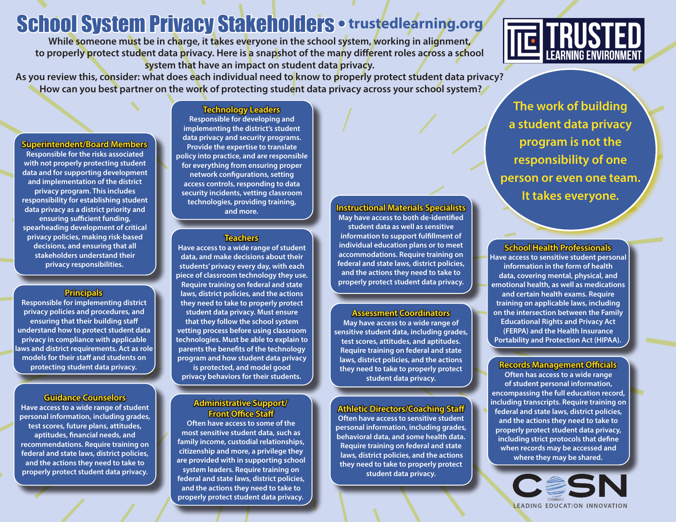# School System Privacy Stakeholders •**trustedlearning.org**

**While someone must be in charge, it takes everyone in the school system, working in alignment, to properly protect student data privacy. Here is a snapshot of the many different roles across a school system that have an impact on student data privacy.** 

**As you review this, consider: what does each individual need to know to properly protect student data privacy? How can you best partner on the work of protecting student data privacy across your school system?**

**Superin Superintendent/Board Members tendent/Board** 

**Responsible for the risks associated with not properly protecting student data and for supporting development and implementation of the district privacy program. This includes responsibility for establishing student data privacy as a district priority and ensuring sufficient funding, spearheading development of critical privacy policies, making risk-based decisions, and ensuring that all stakeholders understand their privacy responsibilities.** 

#### **Principals**

**Responsible for implementing district privacy policies and procedures, and ensuring that their building staff understand how to protect student data privacy in compliance with applicable laws and district requirements. Act as role models for their staff and students on protecting student data privacy.**

#### **Guidance Counselors**

**Have access to a wide range of student personal information, including grades, test scores, future plans, attitudes, aptitudes, financial needs, and recommendations. Require training on federal and state laws, district policies, and the actions they need to take to properly protect student data privacy.**

#### **Technology Leaders**

**Responsible for developing and implementing the district's student data privacy and security programs. Provide the expertise to translate policy into practice, and are responsible for everything from ensuring proper network configurations, setting access controls, responding to data security incidents, vetting classroom technologies, providing training, and more.** 

#### **Teachers eachers**

**Have access to a wide range of student data, and make decisions about their students' privacy every day, with each piece of classroom technology they use. Require training on federal and state laws, district policies, and the actions they need to take to properly protect student data privacy. Must ensure that they follow the school system vetting process before using classroom technologies. Must be able to explain to parents the benefits of the technology program and how student data privacy is protected, and model good privacy behaviors for their students.** 

#### **Administrative Support/ dministrative Front Office Staff ront**

**Often have access to some of the most sensitive student data, such as family income, custodial relationships, citizenship and more, a privilege they are provided with in supporting school system leaders. Require training on federal and state laws, district policies, and the actions they need to take to properly protect student data privacy.**

#### **Instructional Materials Specialists nstructional**

**May have access to both de-identified student data as well as sensitive information to support fulfillment of individual education plans or to meet accommodations. Require training on federal and state laws, district policies, and the actions they need to take to properly protect student data privacy.**

#### **Assessment Coordinators ssessment**

**May have access to a wide range of sensitive student data, including grades, test scores, attitudes, and aptitudes. Require training on federal and state laws, district policies, and the actions they need to take to properly protect student data privacy.** 

#### **Athletic Directors/Coaching Staff thletic**

**Often have access to sensitive student personal information, including grades, behavioral data, and some health data. Require training on federal and state laws, district policies, and the actions they need to take to properly protect student data privacy.**

#### **School Health Professionals chool**

**Have access to sensitive student personal information in the form of health data, covering mental, physical, and emotional health, as well as medications and certain health exams. Require training on applicable laws, including on the intersection between the Family Educational Rights and Privacy Act (FERPA) and the Health Insurance Portability and Protection Act (HIPAA).**

#### **Records Management Officials ecords**

**Often has access to a wide range of student personal information, encompassing the full education record, including transcripts. Require training on federal and state laws, district policies, and the actions they need to take to properly protect student data privacy, including strict protocols that define when records may be accessed and where they may be shared.**

> CESN LEADING EDUCATION INNOVATION

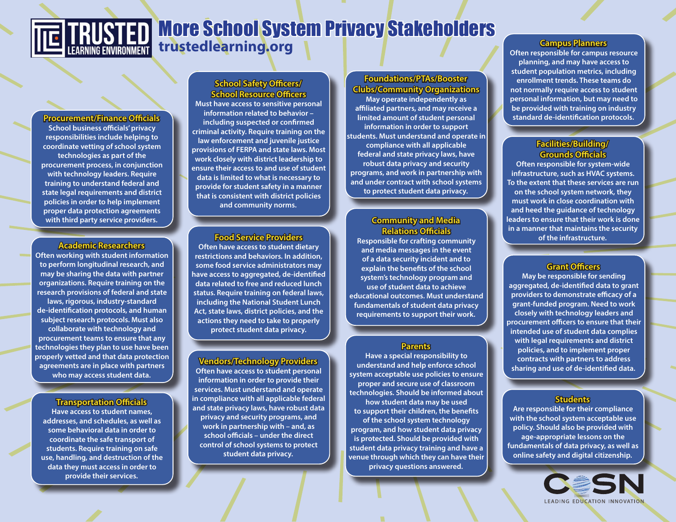## More School System Privacy Stakeholders **trustedlearning.org**

**Procurement/Finance Officials rocurement/Finance School business officials' privacy responsibilities include helping to coordinate vetting of school system technologies as part of the procurement process, in conjunction with technology leaders. Require training to understand federal and state legal requirements and district policies in order to help implement proper data protection agreements with third party service providers.**

#### **Academic Researchers cademic**

**Often working with student information to perform longitudinal research, and may be sharing the data with partner organizations. Require training on the research provisions of federal and state laws, rigorous, industry-standard de-identification protocols, and human subject research protocols. Must also collaborate with technology and procurement teams to ensure that any technologies they plan to use have been properly vetted and that data protection agreements are in place with partners who may access student data.**

#### **Transportation Officials ransportation**

**Have access to student names, addresses, and schedules, as well as some behavioral data in order to coordinate the safe transport of students. Require training on safe use, handling, and destruction of the data they must access in order to provide their services.**

#### **School Safety Officers/ chool School Resource Officers chool**

**Must have access to sensitive personal information related to behavior – including suspected or confirmed criminal activity. Require training on the law enforcement and juvenile justice provisions of FERPA and state laws. Most work closely with district leadership to ensure their access to and use of student data is limited to what is necessary to provide for student safety in a manner that is consistent with district policies and community norms.**

#### **Food Service Providers ood**

**Often have access to student dietary restrictions and behaviors. In addition, some food service administrators may have access to aggregated, de-identified data related to free and reduced lunch status. Require training on federal laws, including the National Student Lunch Act, state laws, district policies, and the actions they need to take to properly protect student data privacy.**

#### **Vendors/Technology Providers endors/Technology**

**Often have access to student personal information in order to provide their services. Must understand and operate in compliance with all applicable federal and state privacy laws, have robust data privacy and security programs, and work in partnership with – and, as school officials – under the direct control of school systems to protect student data privacy.**

#### **Foundations/PTAs/Booster Clubs/Community Organizations lubs/Community**

**May operate independently as affiliated partners, and may receive a limited amount of student personal information in order to support students. Must understand and operate in compliance with all applicable federal and state privacy laws, have robust data privacy and security programs, and work in partnership with and under contract with school systems to protect student data privacy.** 

#### **Community and Media Relations Officials elations**

**Responsible for crafting community and media messages in the event of a data security incident and to explain the benefits of the school system's technology program and use of student data to achieve educational outcomes. Must understand fundamentals of student data privacy requirements to support their work.**

#### **Parents**

**Have a special responsibility to understand and help enforce school system acceptable use policies to ensure proper and secure use of classroom technologies. Should be informed about how student data may be used to support their children, the benefits of the school system technology program, and how student data privacy is protected. Should be provided with student data privacy training and have a venue through which they can have their privacy questions answered.**

**Often responsible for campus resource planning, and may have access to student population metrics, including enrollment trends. These teams do not normally require access to student personal information, but may need to be provided with training on industry standard de-identification protocols.** 

#### **Facilities/Building/ acilities/Building/ Grounds Officials rounds**

**Often responsible for system-wide infrastructure, such as HVAC systems. To the extent that these services are run on the school system network, they must work in close coordination with and heed the guidance of technology leaders to ensure that their work is done in a manner that maintains the security of the infrastructure.** 

#### **Grant Officers rant**

**May be responsible for sending aggregated, de-identified data to grant providers to demonstrate efficacy of a grant-funded program. Need to work closely with technology leaders and procurement officers to ensure that their intended use of student data complies with legal requirements and district policies, and to implement proper contracts with partners to address sharing and use of de-identified data.**

#### **Students tudents**

**Are responsible for their compliance with the school system acceptable use policy. Should also be provided with age-appropriate lessons on the fundamentals of data privacy, as well as online safety and digital citizenship.**